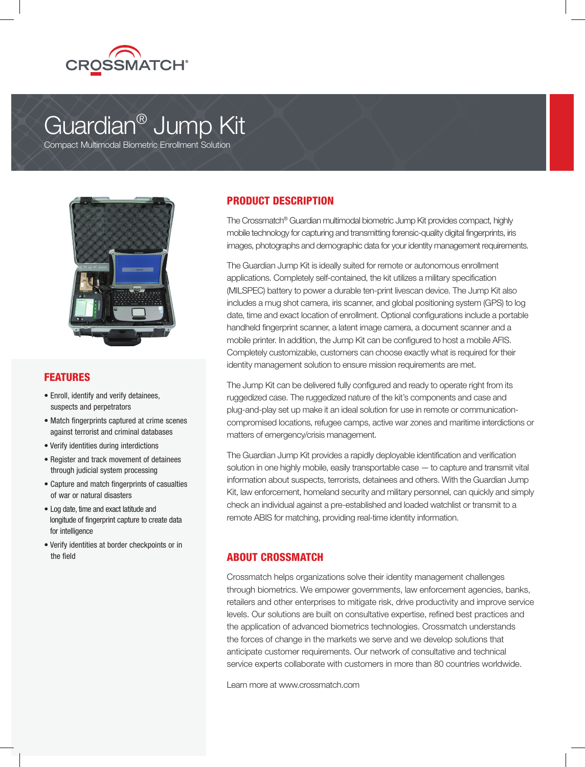

# Guardian® Jump Kit

Compact Multimodal Biometric Enrollment Solution



# FEATURES

- Enroll, identify and verify detainees, suspects and perpetrators
- Match fingerprints captured at crime scenes against terrorist and criminal databases
- Verify identities during interdictions
- Register and track movement of detainees through judicial system processing
- Capture and match fingerprints of casualties of war or natural disasters
- Log date, time and exact latitude and longitude of fingerprint capture to create data for intelligence
- Verify identities at border checkpoints or in the field

# PRODUCT DESCRIPTION

The Crossmatch® Guardian multimodal biometric Jump Kit provides compact, highly mobile technology for capturing and transmitting forensic-quality digital fingerprints, iris images, photographs and demographic data for your identity management requirements.

The Guardian Jump Kit is ideally suited for remote or autonomous enrollment applications. Completely self-contained, the kit utilizes a military specification (MILSPEC) battery to power a durable ten-print livescan device. The Jump Kit also includes a mug shot camera, iris scanner, and global positioning system (GPS) to log date, time and exact location of enrollment. Optional configurations include a portable handheld fingerprint scanner, a latent image camera, a document scanner and a mobile printer. In addition, the Jump Kit can be configured to host a mobile AFIS. Completely customizable, customers can choose exactly what is required for their identity management solution to ensure mission requirements are met.

The Jump Kit can be delivered fully configured and ready to operate right from its ruggedized case. The ruggedized nature of the kit's components and case and plug-and-play set up make it an ideal solution for use in remote or communicationcompromised locations, refugee camps, active war zones and maritime interdictions or matters of emergency/crisis management.

The Guardian Jump Kit provides a rapidly deployable identification and verification solution in one highly mobile, easily transportable case — to capture and transmit vital information about suspects, terrorists, detainees and others. With the Guardian Jump Kit, law enforcement, homeland security and military personnel, can quickly and simply check an individual against a pre-established and loaded watchlist or transmit to a remote ABIS for matching, providing real-time identity information.

# ABOUT CROSSMATCH

Crossmatch helps organizations solve their identity management challenges through biometrics. We empower governments, law enforcement agencies, banks, retailers and other enterprises to mitigate risk, drive productivity and improve service levels. Our solutions are built on consultative expertise, refined best practices and the application of advanced biometrics technologies. Crossmatch understands the forces of change in the markets we serve and we develop solutions that anticipate customer requirements. Our network of consultative and technical service experts collaborate with customers in more than 80 countries worldwide.

Learn more at www.crossmatch.com